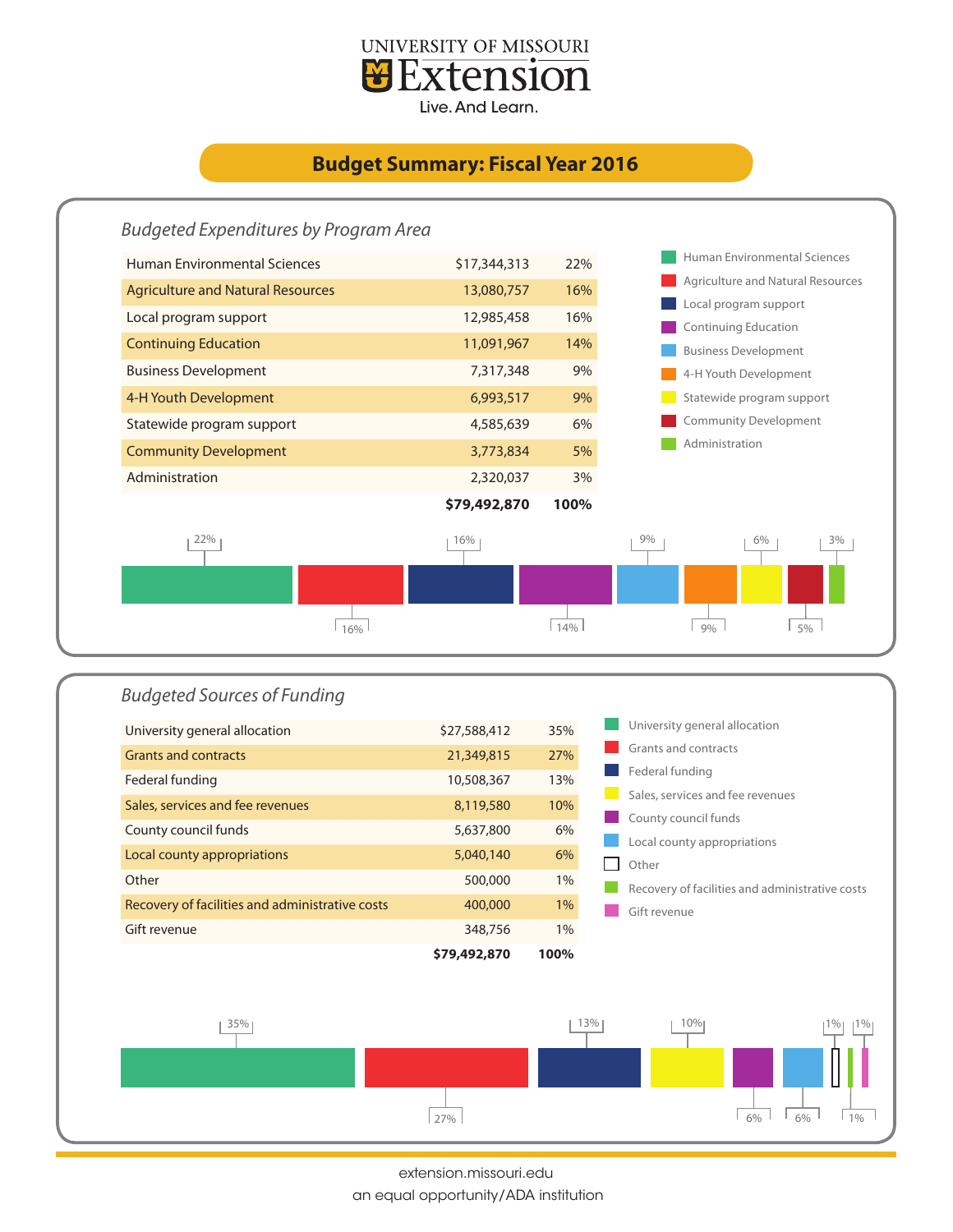

## **Budget Summary: Fiscal Year 2016**





extension.missouri.edu

an equal opportunity/ADA institution